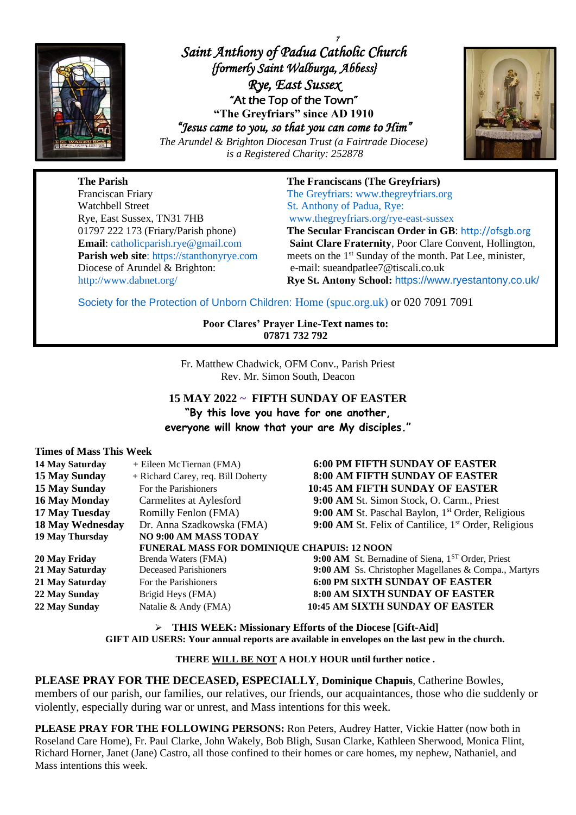

*7 Saint Anthony of Padua Catholic Church {formerly Saint Walburga, Abbess} Rye, East Sussex*  "At the Top of the Town" **"The Greyfriars" since AD 1910** *"Jesus came to you, so that you can come to Him"* 





**The Parish The Franciscans (The Greyfriars)** Franciscan Friary The Greyfriars: [www.thegreyfriars.org](http://www.thegreyfriars.org/) Watchbell Street St. Anthony of Padua, Rye: Rye, East Sussex, TN31 7HB [www.thegreyfriars.org/rye-east-sussex](http://www.thegreyfriars.org/rye-east-sussex) Diocese of Arundel & Brighton: e-mail: sueandpatlee7@tiscali.co.uk

01797 222 173 (Friary/Parish phone) **The Secular Franciscan Order in GB**: [http://ofsgb.org](http://ofsgb.org/) **Email**: [catholicparish.rye@gmail.com](mailto:catholicparish.rye@gmail.com) **Saint Clare Fraternity**, Poor Clare Convent, Hollington, **Parish web site**: https://stanthonyrye.com meets on the 1<sup>st</sup> Sunday of the month. Pat Lee, minister, <http://www.dabnet.org/> **Rye St. Antony School:** <https://www.ryestantony.co.uk/>

Society for the Protection of Unborn Children: [Home \(spuc.org.uk\)](https://www.spuc.org.uk/) or 020 7091 7091

**Poor Clares' Prayer Line-Text names to: 07871 732 792**

Fr. Matthew Chadwick, OFM Conv., Parish Priest Rev. Mr. Simon South, Deacon

**15 MAY 2022 ~ FIFTH SUNDAY OF EASTER "By this love you have for one another, everyone will know that your are My disciples."**

#### **Times of Mass This Week**

| 14 May Saturday                                    | + Eileen McTiernan (FMA)           | <b>6:00 PM FIFTH SUNDAY OF EASTER</b>                            |
|----------------------------------------------------|------------------------------------|------------------------------------------------------------------|
| <b>15 May Sunday</b>                               | + Richard Carey, req. Bill Doherty | 8:00 AM FIFTH SUNDAY OF EASTER                                   |
| <b>15 May Sunday</b>                               | For the Parishioners               | <b>10:45 AM FIFTH SUNDAY OF EASTER</b>                           |
| <b>16 May Monday</b>                               | Carmelites at Aylesford            | 9:00 AM St. Simon Stock, O. Carm., Priest                        |
| 17 May Tuesday                                     | Romilly Fenlon (FMA)               | 9:00 AM St. Paschal Baylon, 1 <sup>st</sup> Order, Religious     |
| <b>18 May Wednesday</b>                            | Dr. Anna Szadkowska (FMA)          | 9:00 AM St. Felix of Cantilice, 1 <sup>st</sup> Order, Religious |
| 19 May Thursday                                    | NO 9:00 AM MASS TODAY              |                                                                  |
| <b>FUNERAL MASS FOR DOMINIQUE CHAPUIS: 12 NOON</b> |                                    |                                                                  |
| 20 May Friday                                      | Brenda Waters (FMA)                | 9:00 AM St. Bernadine of Siena, 1 <sup>ST</sup> Order, Priest    |
| 21 May Saturday                                    | Deceased Parishioners              | 9:00 AM Ss. Christopher Magellanes & Compa., Martyrs             |
| 21 May Saturday                                    | For the Parishioners               | <b>6:00 PM SIXTH SUNDAY OF EASTER</b>                            |
| 22 May Sunday                                      | Brigid Heys (FMA)                  | 8:00 AM SIXTH SUNDAY OF EASTER                                   |
| 22 May Sunday                                      | Natalie & Andy (FMA)               | <b>10:45 AM SIXTH SUNDAY OF EASTER</b>                           |

➢ **THIS WEEK: Missionary Efforts of the Diocese [Gift-Aid] GIFT AID USERS: Your annual reports are available in envelopes on the last pew in the church.**

#### **THERE WILL BE NOT A HOLY HOUR until further notice .**

**PLEASE PRAY FOR THE DECEASED, ESPECIALLY**, **Dominique Chapuis**, Catherine Bowles, members of our parish, our families, our relatives, our friends, our acquaintances, those who die suddenly or violently, especially during war or unrest, and Mass intentions for this week.

**PLEASE PRAY FOR THE FOLLOWING PERSONS:** Ron Peters, Audrey Hatter, Vickie Hatter (now both in Roseland Care Home), Fr. Paul Clarke, John Wakely, Bob Bligh, Susan Clarke, Kathleen Sherwood, Monica Flint, Richard Horner, Janet (Jane) Castro, all those confined to their homes or care homes, my nephew, Nathaniel, and Mass intentions this week.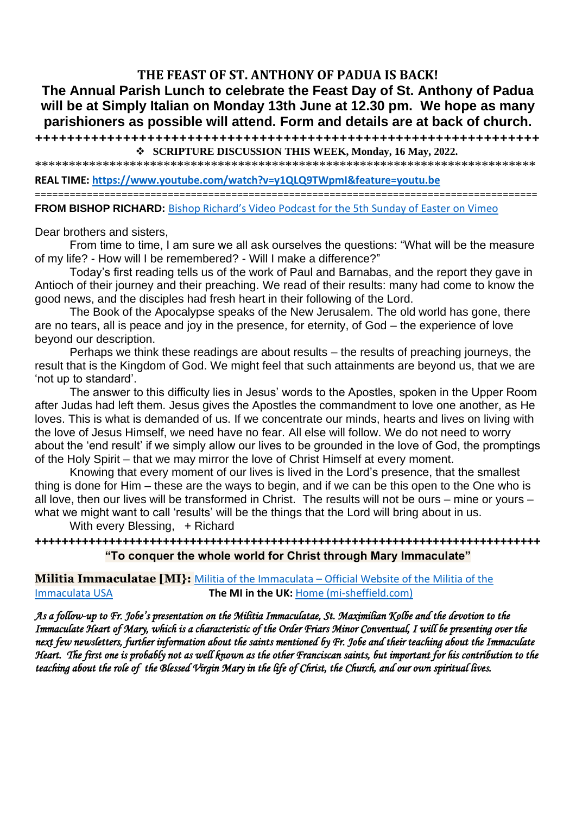## **THE FEAST OF ST. ANTHONY OF PADUA IS BACK!**

# **The Annual Parish Lunch to celebrate the Feast Day of St. Anthony of Padua will be at Simply Italian on Monday 13th June at 12.30 pm. We hope as many parishioners as possible will attend. Form and details are at back of church.**

**+++++++++++++++++++++++++++++++++++++++++++++++++++++++++++++++** ❖ **SCRIPTURE DISCUSSION THIS WEEK, Monday, 16 May, 2022.**

\*\*\*\*\*\*\*\*\*\*\*\*\*\*\*\*\*\*\*\*\*\*\*\*\*\*\*\*\*\*\*\*\*\*\*\*\*\*\*\*\*\*\*\*\*\*\*\*\*\*\*\*\*\*\*\*\*\*\*\*\*\*\*\*\*\*\*\*\*\*\*\*\*\*

**REAL TIME:<https://www.youtube.com/watch?v=y1QLQ9TWpmI&feature=youtu.be>**

=======================================================================================

**FROM BISHOP RICHARD:** Bishop Richard's Video Podcas[t for the 5th Sunday of Easter on Vimeo](https://vimeo.com/709112285?ct=t(EMAIL_CAMPAIGN_2_17_2022_14_56_COPY_02)&mc_cid=bd1932a2db&mc_eid=b72a3215d2)

Dear brothers and sisters,

From time to time, I am sure we all ask ourselves the questions: "What will be the measure of my life? - How will I be remembered? - Will I make a difference?"

Today's first reading tells us of the work of Paul and Barnabas, and the report they gave in Antioch of their journey and their preaching. We read of their results: many had come to know the good news, and the disciples had fresh heart in their following of the Lord.

The Book of the Apocalypse speaks of the New Jerusalem. The old world has gone, there are no tears, all is peace and joy in the presence, for eternity, of God – the experience of love beyond our description.

Perhaps we think these readings are about results – the results of preaching journeys, the result that is the Kingdom of God. We might feel that such attainments are beyond us, that we are 'not up to standard'.

The answer to this difficulty lies in Jesus' words to the Apostles, spoken in the Upper Room after Judas had left them. Jesus gives the Apostles the commandment to love one another, as He loves. This is what is demanded of us. If we concentrate our minds, hearts and lives on living with the love of Jesus Himself, we need have no fear. All else will follow. We do not need to worry about the 'end result' if we simply allow our lives to be grounded in the love of God, the promptings of the Holy Spirit – that we may mirror the love of Christ Himself at every moment.

Knowing that every moment of our lives is lived in the Lord's presence, that the smallest thing is done for Him – these are the ways to begin, and if we can be this open to the One who is all love, then our lives will be transformed in Christ. The results will not be ours – mine or yours – what we might want to call 'results' will be the things that the Lord will bring about in us.

With every Blessing, + Richard

**+++++++++++++++++++++++++++++++++++++++++++++++++++++++++++++++++++++++++++ "To conquer the whole world for Christ through Mary Immaculate"**

**Militia Immaculatae [MI}:** Militia of the Immaculata – [Official Website of the Militia of the](https://militiaoftheimmaculata.com/)  [Immaculata USA](https://militiaoftheimmaculata.com/) **The MI in the UK:** [Home \(mi-sheffield.com\)](https://www.mi-sheffield.com/)

*As a follow-up to Fr. Jobe's presentation on the Militia Immaculatae, St. Maximilian Kolbe and the devotion to the Immaculate Heart of Mary, which is a characteristic of the Order Friars Minor Conventual, I will be presenting over the next few newsletters, further information about the saints mentioned by Fr. Jobe and their teaching about the Immaculate Heart. The first one is probably not as well known as the other Franciscan saints, but important for his contribution to the teaching about the role of the Blessed Virgin Mary in the life of Christ, the Church, and our own spiritual lives.*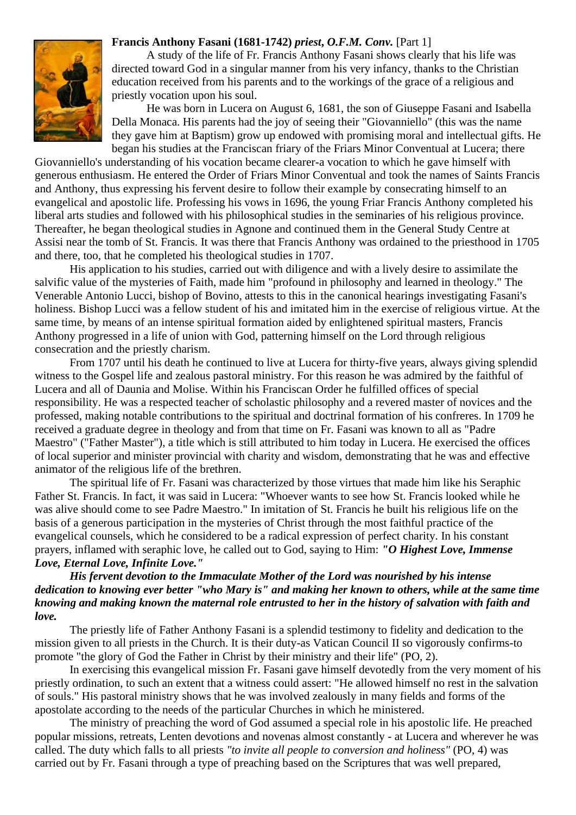

### **Francis Anthony Fasani (1681-1742)** *priest***,** *O.F.M. Conv.* [Part 1]

A study of the life of Fr. Francis Anthony Fasani shows clearly that his life was directed toward God in a singular manner from his very infancy, thanks to the Christian education received from his parents and to the workings of the grace of a religious and priestly vocation upon his soul.

He was born in Lucera on August 6, 1681, the son of Giuseppe Fasani and Isabella Della Monaca. His parents had the joy of seeing their "Giovanniello" (this was the name they gave him at Baptism) grow up endowed with promising moral and intellectual gifts. He began his studies at the Franciscan friary of the Friars Minor Conventual at Lucera; there

Giovanniello's understanding of his vocation became clearer-a vocation to which he gave himself with generous enthusiasm. He entered the Order of Friars Minor Conventual and took the names of Saints Francis and Anthony, thus expressing his fervent desire to follow their example by consecrating himself to an evangelical and apostolic life. Professing his vows in 1696, the young Friar Francis Anthony completed his liberal arts studies and followed with his philosophical studies in the seminaries of his religious province. Thereafter, he began theological studies in Agnone and continued them in the General Study Centre at Assisi near the tomb of St. Francis. It was there that Francis Anthony was ordained to the priesthood in 1705 and there, too, that he completed his theological studies in 1707.

His application to his studies, carried out with diligence and with a lively desire to assimilate the salvific value of the mysteries of Faith, made him "profound in philosophy and learned in theology." The Venerable Antonio Lucci, bishop of Bovino, attests to this in the canonical hearings investigating Fasani's holiness. Bishop Lucci was a fellow student of his and imitated him in the exercise of religious virtue. At the same time, by means of an intense spiritual formation aided by enlightened spiritual masters, Francis Anthony progressed in a life of union with God, patterning himself on the Lord through religious consecration and the priestly charism.

From 1707 until his death he continued to live at Lucera for thirty-five years, always giving splendid witness to the Gospel life and zealous pastoral ministry. For this reason he was admired by the faithful of Lucera and all of Daunia and Molise. Within his Franciscan Order he fulfilled offices of special responsibility. He was a respected teacher of scholastic philosophy and a revered master of novices and the professed, making notable contributions to the spiritual and doctrinal formation of his confreres. In 1709 he received a graduate degree in theology and from that time on Fr. Fasani was known to all as "Padre Maestro" ("Father Master"), a title which is still attributed to him today in Lucera. He exercised the offices of local superior and minister provincial with charity and wisdom, demonstrating that he was and effective animator of the religious life of the brethren.

The spiritual life of Fr. Fasani was characterized by those virtues that made him like his Seraphic Father St. Francis. In fact, it was said in Lucera: "Whoever wants to see how St. Francis looked while he was alive should come to see Padre Maestro." In imitation of St. Francis he built his religious life on the basis of a generous participation in the mysteries of Christ through the most faithful practice of the evangelical counsels, which he considered to be a radical expression of perfect charity. In his constant prayers, inflamed with seraphic love, he called out to God, saying to Him: *"O Highest Love, Immense Love, Eternal Love, Infinite Love."*

## *His fervent devotion to the Immaculate Mother of the Lord was nourished by his intense dedication to knowing ever better "who Mary is" and making her known to others, while at the same time knowing and making known the maternal role entrusted to her in the history of salvation with faith and love.*

The priestly life of Father Anthony Fasani is a splendid testimony to fidelity and dedication to the mission given to all priests in the Church. It is their duty-as Vatican Council II so vigorously confirms-to promote "the glory of God the Father in Christ by their ministry and their life" (PO, 2).

In exercising this evangelical mission Fr. Fasani gave himself devotedly from the very moment of his priestly ordination, to such an extent that a witness could assert: "He allowed himself no rest in the salvation of souls." His pastoral ministry shows that he was involved zealously in many fields and forms of the apostolate according to the needs of the particular Churches in which he ministered.

The ministry of preaching the word of God assumed a special role in his apostolic life. He preached popular missions, retreats, Lenten devotions and novenas almost constantly - at Lucera and wherever he was called. The duty which falls to all priests *"to invite all people to conversion and holiness"* (PO, 4) was carried out by Fr. Fasani through a type of preaching based on the Scriptures that was well prepared,